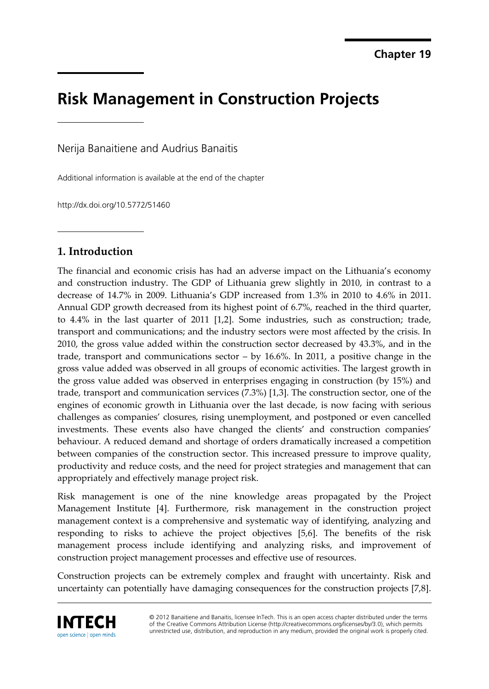# **Risk Management in Construction Projects**

Nerija Banaitiene and Audrius Banaitis

Additional information is available at the end of the chapter

http://dx.doi.org/10.5772/51460

### **1. Introduction**

The financial and economic crisis has had an adverse impact on the Lithuania's economy and construction industry. The GDP of Lithuania grew slightly in 2010, in contrast to a decrease of 14.7% in 2009. Lithuania's GDP increased from 1.3% in 2010 to 4.6% in 2011. Annual GDP growth decreased from its highest point of 6.7%, reached in the third quarter, to 4.4% in the last quarter of 2011 [1,2]. Some industries, such as construction; trade, transport and communications; and the industry sectors were most affected by the crisis. In 2010, the gross value added within the construction sector decreased by 43.3%, and in the trade, transport and communications sector – by  $16.6\%$ . In 2011, a positive change in the gross value added was observed in all groups of economic activities. The largest growth in the gross value added was observed in enterprises engaging in construction (by 15%) and trade, transport and communication services (7.3%) [1,3]. The construction sector, one of the engines of economic growth in Lithuania over the last decade, is now facing with serious challenges as companies' closures, rising unemployment, and postponed or even cancelled investments. These events also have changed the clients' and construction companies' behaviour. A reduced demand and shortage of orders dramatically increased a competition between companies of the construction sector. This increased pressure to improve quality, productivity and reduce costs, and the need for project strategies and management that can appropriately and effectively manage project risk.

Risk management is one of the nine knowledge areas propagated by the Project Management Institute [4]. Furthermore, risk management in the construction project management context is a comprehensive and systematic way of identifying, analyzing and responding to risks to achieve the project objectives [5,6]. The benefits of the risk management process include identifying and analyzing risks, and improvement of construction project management processes and effective use of resources.

Construction projects can be extremely complex and fraught with uncertainty. Risk and uncertainty can potentially have damaging consequences for the construction projects [7,8].



© 2012 Banaitiene and Banaitis, licensee InTech. This is an open access chapter distributed under the terms of the Creative Commons Attribution License (http://creativecommons.org/licenses/by/3.0), which permits unrestricted use, distribution, and reproduction in any medium, provided the original work is properly cited.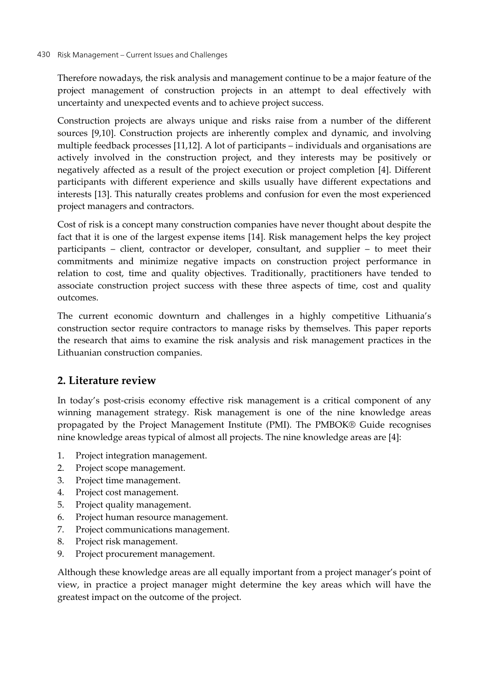Therefore nowadays, the risk analysis and management continue to be a major feature of the project management of construction projects in an attempt to deal effectively with uncertainty and unexpected events and to achieve project success.

Construction projects are always unique and risks raise from a number of the different sources [9,10]. Construction projects are inherently complex and dynamic, and involving multiple feedback processes [11,12]. A lot of participants – individuals and organisations are actively involved in the construction project, and they interests may be positively or negatively affected as a result of the project execution or project completion [4]. Different participants with different experience and skills usually have different expectations and interests [13]. This naturally creates problems and confusion for even the most experienced project managers and contractors.

Cost of risk is a concept many construction companies have never thought about despite the fact that it is one of the largest expense items [14]. Risk management helps the key project participants – client, contractor or developer, consultant, and supplier – to meet their commitments and minimize negative impacts on construction project performance in relation to cost, time and quality objectives. Traditionally, practitioners have tended to associate construction project success with these three aspects of time, cost and quality outcomes.

The current economic downturn and challenges in a highly competitive Lithuania's construction sector require contractors to manage risks by themselves. This paper reports the research that aims to examine the risk analysis and risk management practices in the Lithuanian construction companies.

# **2. Literature review**

In today's post-crisis economy effective risk management is a critical component of any winning management strategy. Risk management is one of the nine knowledge areas propagated by the Project Management Institute (PMI). The PMBOK® Guide recognises nine knowledge areas typical of almost all projects. The nine knowledge areas are [4]:

- 1. Project integration management.
- 2. Project scope management.
- 3. Project time management.
- 4. Project cost management.
- 5. Project quality management.
- 6. Project human resource management.
- 7. Project communications management.
- 8. Project risk management.
- 9. Project procurement management.

Although these knowledge areas are all equally important from a project manager's point of view, in practice a project manager might determine the key areas which will have the greatest impact on the outcome of the project.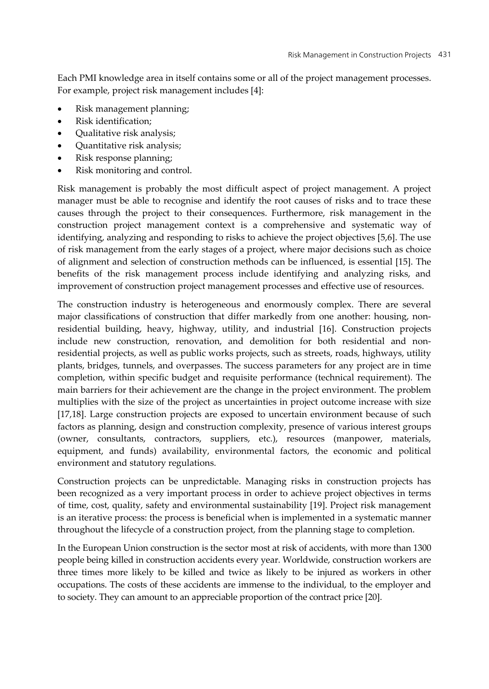Each PMI knowledge area in itself contains some or all of the project management processes. For example, project risk management includes [4]:

- Risk management planning;
- Risk identification;
- Qualitative risk analysis;
- Quantitative risk analysis;
- Risk response planning;
- Risk monitoring and control.

Risk management is probably the most difficult aspect of project management. A project manager must be able to recognise and identify the root causes of risks and to trace these causes through the project to their consequences. Furthermore, risk management in the construction project management context is a comprehensive and systematic way of identifying, analyzing and responding to risks to achieve the project objectives [5,6]. The use of risk management from the early stages of a project, where major decisions such as choice of alignment and selection of construction methods can be influenced, is essential [15]. The benefits of the risk management process include identifying and analyzing risks, and improvement of construction project management processes and effective use of resources.

The construction industry is heterogeneous and enormously complex. There are several major classifications of construction that differ markedly from one another: housing, nonresidential building, heavy, highway, utility, and industrial [16]. Construction projects include new construction, renovation, and demolition for both residential and nonresidential projects, as well as public works projects, such as streets, roads, highways, utility plants, bridges, tunnels, and overpasses. The success parameters for any project are in time completion, within specific budget and requisite performance (technical requirement). The main barriers for their achievement are the change in the project environment. The problem multiplies with the size of the project as uncertainties in project outcome increase with size [17,18]. Large construction projects are exposed to uncertain environment because of such factors as planning, design and construction complexity, presence of various interest groups (owner, consultants, contractors, suppliers, etc.), resources (manpower, materials, equipment, and funds) availability, environmental factors, the economic and political environment and statutory regulations.

Construction projects can be unpredictable. Managing risks in construction projects has been recognized as a very important process in order to achieve project objectives in terms of time, cost, quality, safety and environmental sustainability [19]. Project risk management is an iterative process: the process is beneficial when is implemented in a systematic manner throughout the lifecycle of a construction project, from the planning stage to completion.

In the European Union construction is the sector most at risk of accidents, with more than 1300 people being killed in construction accidents every year. Worldwide, construction workers are three times more likely to be killed and twice as likely to be injured as workers in other occupations. The costs of these accidents are immense to the individual, to the employer and to society. They can amount to an appreciable proportion of the contract price [20].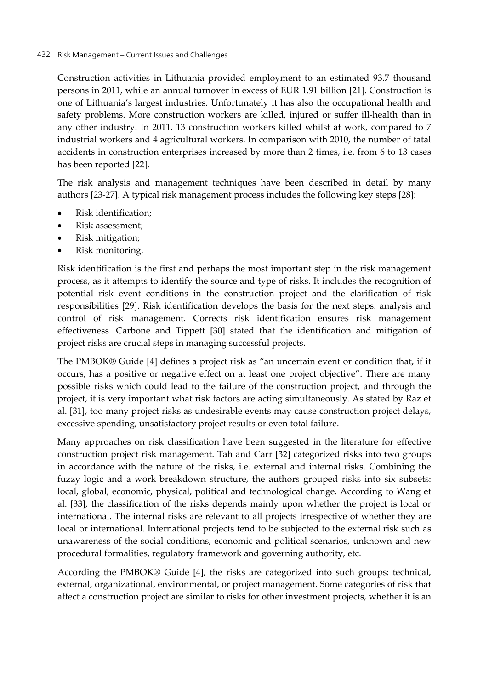Construction activities in Lithuania provided employment to an estimated 93.7 thousand persons in 2011, while an annual turnover in excess of EUR 1.91 billion [21]. Construction is one of Lithuania's largest industries. Unfortunately it has also the occupational health and safety problems. More construction workers are killed, injured or suffer ill-health than in any other industry. In 2011, 13 construction workers killed whilst at work, compared to 7 industrial workers and 4 agricultural workers. In comparison with 2010, the number of fatal accidents in construction enterprises increased by more than 2 times, i.e. from 6 to 13 cases has been reported [22].

The risk analysis and management techniques have been described in detail by many authors [23-27]. A typical risk management process includes the following key steps [28]:

- Risk identification;
- Risk assessment:
- Risk mitigation;
- Risk monitoring.

Risk identification is the first and perhaps the most important step in the risk management process, as it attempts to identify the source and type of risks. It includes the recognition of potential risk event conditions in the construction project and the clarification of risk responsibilities [29]. Risk identification develops the basis for the next steps: analysis and control of risk management. Corrects risk identification ensures risk management effectiveness. Carbone and Tippett [30] stated that the identification and mitigation of project risks are crucial steps in managing successful projects.

The PMBOK® Guide [4] defines a project risk as "an uncertain event or condition that, if it occurs, has a positive or negative effect on at least one project objective". There are many possible risks which could lead to the failure of the construction project, and through the project, it is very important what risk factors are acting simultaneously. As stated by Raz et al. [31], too many project risks as undesirable events may cause construction project delays, excessive spending, unsatisfactory project results or even total failure.

Many approaches on risk classification have been suggested in the literature for effective construction project risk management. Tah and Carr [32] categorized risks into two groups in accordance with the nature of the risks, i.e. external and internal risks. Combining the fuzzy logic and a work breakdown structure, the authors grouped risks into six subsets: local, global, economic, physical, political and technological change. According to Wang et al. [33], the classification of the risks depends mainly upon whether the project is local or international. The internal risks are relevant to all projects irrespective of whether they are local or international. International projects tend to be subjected to the external risk such as unawareness of the social conditions, economic and political scenarios, unknown and new procedural formalities, regulatory framework and governing authority, etc.

According the PMBOK® Guide [4], the risks are categorized into such groups: technical, external, organizational, environmental, or project management. Some categories of risk that affect a construction project are similar to risks for other investment projects, whether it is an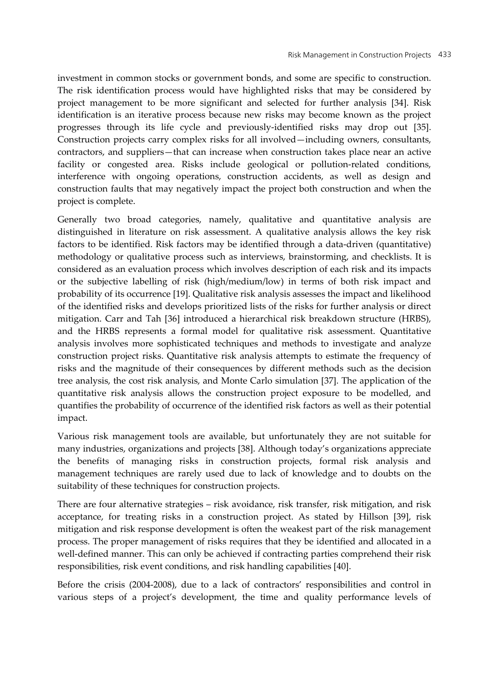investment in common stocks or government bonds, and some are specific to construction. The risk identification process would have highlighted risks that may be considered by project management to be more significant and selected for further analysis [34]. Risk identification is an iterative process because new risks may become known as the project progresses through its life cycle and previously-identified risks may drop out [35]. Construction projects carry complex risks for all involved—including owners, consultants, contractors, and suppliers—that can increase when construction takes place near an active facility or congested area. Risks include geological or pollution-related conditions, interference with ongoing operations, construction accidents, as well as design and construction faults that may negatively impact the project both construction and when the project is complete.

Generally two broad categories, namely, qualitative and quantitative analysis are distinguished in literature on risk assessment. A qualitative analysis allows the key risk factors to be identified. Risk factors may be identified through a data-driven (quantitative) methodology or qualitative process such as interviews, brainstorming, and checklists. It is considered as an evaluation process which involves description of each risk and its impacts or the subjective labelling of risk (high/medium/low) in terms of both risk impact and probability of its occurrence [19]. Qualitative risk analysis assesses the impact and likelihood of the identified risks and develops prioritized lists of the risks for further analysis or direct mitigation. Carr and Tah [36] introduced a hierarchical risk breakdown structure (HRBS), and the HRBS represents a formal model for qualitative risk assessment. Quantitative analysis involves more sophisticated techniques and methods to investigate and analyze construction project risks. Quantitative risk analysis attempts to estimate the frequency of risks and the magnitude of their consequences by different methods such as the decision tree analysis, the cost risk analysis, and Monte Carlo simulation [37]. The application of the quantitative risk analysis allows the construction project exposure to be modelled, and quantifies the probability of occurrence of the identified risk factors as well as their potential impact.

Various risk management tools are available, but unfortunately they are not suitable for many industries, organizations and projects [38]. Although today's organizations appreciate the benefits of managing risks in construction projects, formal risk analysis and management techniques are rarely used due to lack of knowledge and to doubts on the suitability of these techniques for construction projects.

There are four alternative strategies – risk avoidance, risk transfer, risk mitigation, and risk acceptance, for treating risks in a construction project. As stated by Hillson [39], risk mitigation and risk response development is often the weakest part of the risk management process. The proper management of risks requires that they be identified and allocated in a well-defined manner. This can only be achieved if contracting parties comprehend their risk responsibilities, risk event conditions, and risk handling capabilities [40].

Before the crisis (2004-2008), due to a lack of contractors' responsibilities and control in various steps of a project's development, the time and quality performance levels of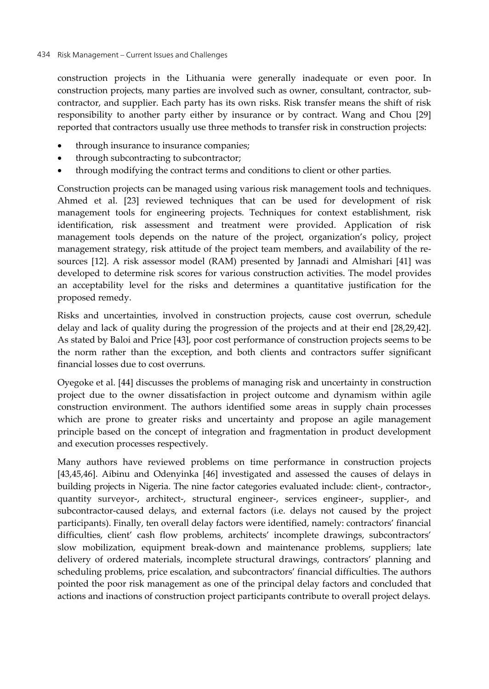construction projects in the Lithuania were generally inadequate or even poor. In construction projects, many parties are involved such as owner, consultant, contractor, subcontractor, and supplier. Each party has its own risks. Risk transfer means the shift of risk responsibility to another party either by insurance or by contract. Wang and Chou [29] reported that contractors usually use three methods to transfer risk in construction projects:

- through insurance to insurance companies;
- through subcontracting to subcontractor;
- through modifying the contract terms and conditions to client or other parties.

Construction projects can be managed using various risk management tools and techniques. Ahmed et al. [23] reviewed techniques that can be used for development of risk management tools for engineering projects. Techniques for context establishment, risk identification, risk assessment and treatment were provided. Application of risk management tools depends on the nature of the project, organization's policy, project management strategy, risk attitude of the project team members, and availability of the resources [12]. A risk assessor model (RAM) presented by Jannadi and Almishari [41] was developed to determine risk scores for various construction activities. The model provides an acceptability level for the risks and determines a quantitative justification for the proposed remedy.

Risks and uncertainties, involved in construction projects, cause cost overrun, schedule delay and lack of quality during the progression of the projects and at their end [28,29,42]. As stated by Baloi and Price [43], poor cost performance of construction projects seems to be the norm rather than the exception, and both clients and contractors suffer significant financial losses due to cost overruns.

Oyegoke et al. [44] discusses the problems of managing risk and uncertainty in construction project due to the owner dissatisfaction in project outcome and dynamism within agile construction environment. The authors identified some areas in supply chain processes which are prone to greater risks and uncertainty and propose an agile management principle based on the concept of integration and fragmentation in product development and execution processes respectively.

Many authors have reviewed problems on time performance in construction projects [43,45,46]. Aibinu and Odenyinka [46] investigated and assessed the causes of delays in building projects in Nigeria. The nine factor categories evaluated include: client-, contractor-, quantity surveyor-, architect-, structural engineer-, services engineer-, supplier-, and subcontractor-caused delays, and external factors (i.e. delays not caused by the project participants). Finally, ten overall delay factors were identified, namely: contractors' financial difficulties, client' cash flow problems, architects' incomplete drawings, subcontractors' slow mobilization, equipment break-down and maintenance problems, suppliers; late delivery of ordered materials, incomplete structural drawings, contractors' planning and scheduling problems, price escalation, and subcontractors' financial difficulties. The authors pointed the poor risk management as one of the principal delay factors and concluded that actions and inactions of construction project participants contribute to overall project delays.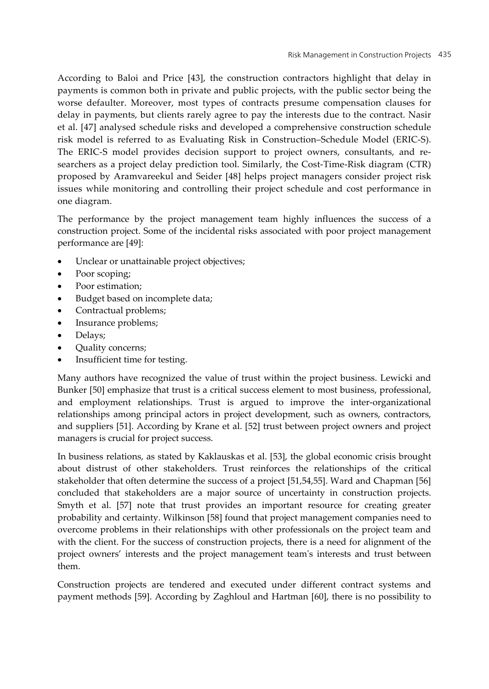According to Baloi and Price [43], the construction contractors highlight that delay in payments is common both in private and public projects, with the public sector being the worse defaulter. Moreover, most types of contracts presume compensation clauses for delay in payments, but clients rarely agree to pay the interests due to the contract. Nasir et al. [47] analysed schedule risks and developed a comprehensive construction schedule risk model is referred to as Evaluating Risk in Construction–Schedule Model (ERIC-S). The ERIC-S model provides decision support to project owners, consultants, and researchers as a project delay prediction tool. Similarly, the Cost-Time-Risk diagram (CTR) proposed by Aramvareekul and Seider [48] helps project managers consider project risk issues while monitoring and controlling their project schedule and cost performance in one diagram.

The performance by the project management team highly influences the success of a construction project. Some of the incidental risks associated with poor project management performance are [49]:

- Unclear or unattainable project objectives;
- Poor scoping;
- Poor estimation;
- Budget based on incomplete data;
- Contractual problems;
- Insurance problems;
- Delays;
- Quality concerns;
- Insufficient time for testing.

Many authors have recognized the value of trust within the project business. Lewicki and Bunker [50] emphasize that trust is a critical success element to most business, professional, and employment relationships. Trust is argued to improve the inter-organizational relationships among principal actors in project development, such as owners, contractors, and suppliers [51]. According by Krane et al. [52] trust between project owners and project managers is crucial for project success.

In business relations, as stated by Kaklauskas et al. [53], the global economic crisis brought about distrust of other stakeholders. Trust reinforces the relationships of the critical stakeholder that often determine the success of a project [51,54,55]. Ward and Chapman [56] concluded that stakeholders are a major source of uncertainty in construction projects. Smyth et al. [57] note that trust provides an important resource for creating greater probability and certainty. Wilkinson [58] found that project management companies need to overcome problems in their relationships with other professionals on the project team and with the client. For the success of construction projects, there is a need for alignment of the project owners' interests and the project management team's interests and trust between them.

Construction projects are tendered and executed under different contract systems and payment methods [59]. According by Zaghloul and Hartman [60], there is no possibility to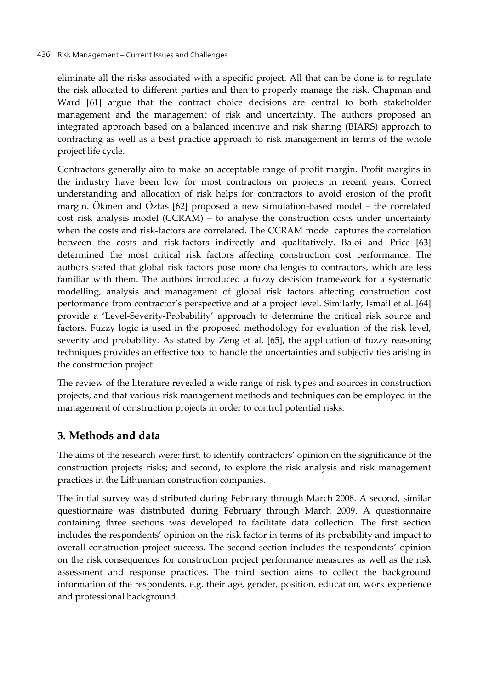eliminate all the risks associated with a specific project. All that can be done is to regulate the risk allocated to different parties and then to properly manage the risk. Chapman and Ward [61] argue that the contract choice decisions are central to both stakeholder management and the management of risk and uncertainty. The authors proposed an integrated approach based on a balanced incentive and risk sharing (BIARS) approach to contracting as well as a best practice approach to risk management in terms of the whole project life cycle.

Contractors generally aim to make an acceptable range of profit margin. Profit margins in the industry have been low for most contractors on projects in recent years. Correct understanding and allocation of risk helps for contractors to avoid erosion of the profit margin. Ökmen and Öztas [62] proposed a new simulation-based model – the correlated cost risk analysis model (CCRAM) – to analyse the construction costs under uncertainty when the costs and risk-factors are correlated. The CCRAM model captures the correlation between the costs and risk-factors indirectly and qualitatively. Baloi and Price [63] determined the most critical risk factors affecting construction cost performance. The authors stated that global risk factors pose more challenges to contractors, which are less familiar with them. The authors introduced a fuzzy decision framework for a systematic modelling, analysis and management of global risk factors affecting construction cost performance from contractor's perspective and at a project level. Similarly, Ismail et al. [64] provide a 'Level-Severity-Probability' approach to determine the critical risk source and factors. Fuzzy logic is used in the proposed methodology for evaluation of the risk level, severity and probability. As stated by Zeng et al. [65], the application of fuzzy reasoning techniques provides an effective tool to handle the uncertainties and subjectivities arising in the construction project.

The review of the literature revealed a wide range of risk types and sources in construction projects, and that various risk management methods and techniques can be employed in the management of construction projects in order to control potential risks.

# **3. Methods and data**

The aims of the research were: first, to identify contractors' opinion on the significance of the construction projects risks; and second, to explore the risk analysis and risk management practices in the Lithuanian construction companies.

The initial survey was distributed during February through March 2008. A second, similar questionnaire was distributed during February through March 2009. A questionnaire containing three sections was developed to facilitate data collection. The first section includes the respondents' opinion on the risk factor in terms of its probability and impact to overall construction project success. The second section includes the respondents' opinion on the risk consequences for construction project performance measures as well as the risk assessment and response practices. The third section aims to collect the background information of the respondents, e.g. their age, gender, position, education, work experience and professional background.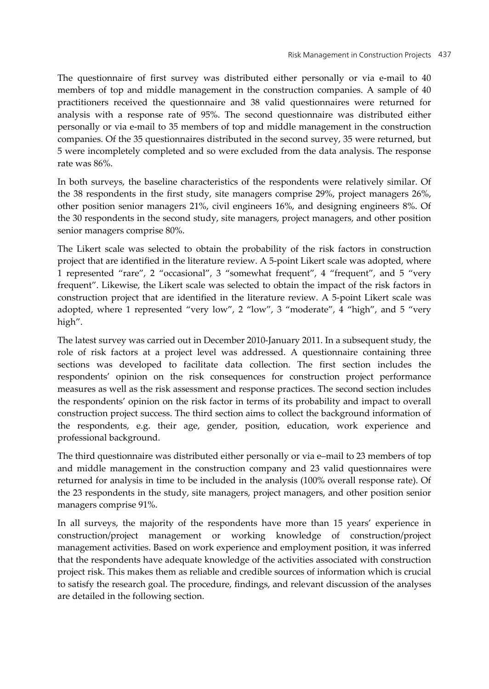The questionnaire of first survey was distributed either personally or via e-mail to 40 members of top and middle management in the construction companies. A sample of 40 practitioners received the questionnaire and 38 valid questionnaires were returned for analysis with a response rate of 95%. The second questionnaire was distributed either personally or via e-mail to 35 members of top and middle management in the construction companies. Of the 35 questionnaires distributed in the second survey, 35 were returned, but 5 were incompletely completed and so were excluded from the data analysis. The response rate was 86%.

In both surveys, the baseline characteristics of the respondents were relatively similar. Of the 38 respondents in the first study, site managers comprise 29%, project managers 26%, other position senior managers 21%, civil engineers 16%, and designing engineers 8%. Of the 30 respondents in the second study, site managers, project managers, and other position senior managers comprise 80%.

The Likert scale was selected to obtain the probability of the risk factors in construction project that are identified in the literature review. A 5-point Likert scale was adopted, where 1 represented "rare", 2 "occasional", 3 "somewhat frequent", 4 "frequent", and 5 "very frequent". Likewise, the Likert scale was selected to obtain the impact of the risk factors in construction project that are identified in the literature review. A 5-point Likert scale was adopted, where 1 represented "very low", 2 "low", 3 "moderate", 4 "high", and 5 "very high".

The latest survey was carried out in December 2010-January 2011. In a subsequent study, the role of risk factors at a project level was addressed. A questionnaire containing three sections was developed to facilitate data collection. The first section includes the respondents' opinion on the risk consequences for construction project performance measures as well as the risk assessment and response practices. The second section includes the respondents' opinion on the risk factor in terms of its probability and impact to overall construction project success. The third section aims to collect the background information of the respondents, e.g. their age, gender, position, education, work experience and professional background.

The third questionnaire was distributed either personally or via e–mail to 23 members of top and middle management in the construction company and 23 valid questionnaires were returned for analysis in time to be included in the analysis (100% overall response rate). Of the 23 respondents in the study, site managers, project managers, and other position senior managers comprise 91%.

In all surveys, the majority of the respondents have more than 15 years' experience in construction/project management or working knowledge of construction/project management activities. Based on work experience and employment position, it was inferred that the respondents have adequate knowledge of the activities associated with construction project risk. This makes them as reliable and credible sources of information which is crucial to satisfy the research goal. The procedure, findings, and relevant discussion of the analyses are detailed in the following section.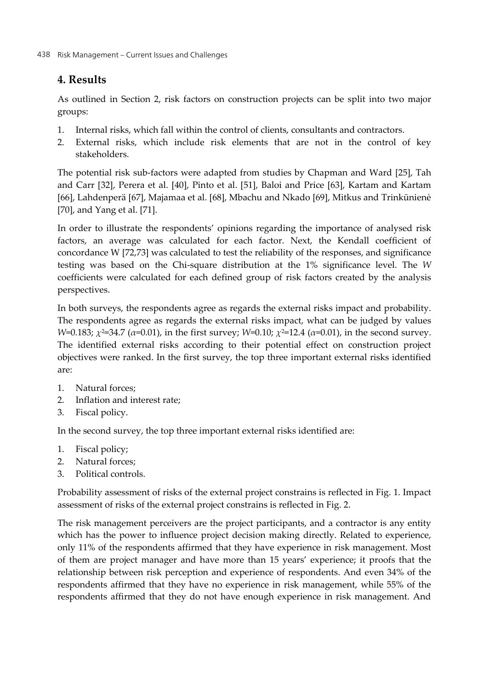# **4. Results**

As outlined in Section 2, risk factors on construction projects can be split into two major groups:

- 1. Internal risks, which fall within the control of clients, consultants and contractors.
- 2. External risks, which include risk elements that are not in the control of key stakeholders.

The potential risk sub-factors were adapted from studies by Chapman and Ward [25], Tah and Carr [32], Perera et al. [40], Pinto et al. [51], Baloi and Price [63], Kartam and Kartam [66], Lahdenperä [67], Majamaa et al. [68], Mbachu and Nkado [69], Mitkus and Trinkūnienė [70], and Yang et al. [71].

In order to illustrate the respondents' opinions regarding the importance of analysed risk factors, an average was calculated for each factor. Next, the Kendall coefficient of concordance W [72,73] was calculated to test the reliability of the responses, and significance testing was based on the Chi-square distribution at the 1% significance level. The *W* coefficients were calculated for each defined group of risk factors created by the analysis perspectives.

In both surveys, the respondents agree as regards the external risks impact and probability. The respondents agree as regards the external risks impact, what can be judged by values *W*=0.183; *χ*<sup>2</sup>=34.7 (*α*=0.01), in the first survey; *W*=0.10; *χ*<sup>2</sup>=12.4 (*α*=0.01), in the second survey. The identified external risks according to their potential effect on construction project objectives were ranked. In the first survey, the top three important external risks identified are:

- 1. Natural forces;
- 2. Inflation and interest rate;
- 3. Fiscal policy.

In the second survey, the top three important external risks identified are:

- 1. Fiscal policy;
- 2. Natural forces;
- 3. Political controls.

Probability assessment of risks of the external project constrains is reflected in Fig. 1. Impact assessment of risks of the external project constrains is reflected in Fig. 2.

The risk management perceivers are the project participants, and a contractor is any entity which has the power to influence project decision making directly. Related to experience, only 11% of the respondents affirmed that they have experience in risk management. Most of them are project manager and have more than 15 years' experience; it proofs that the relationship between risk perception and experience of respondents. And even 34% of the respondents affirmed that they have no experience in risk management, while 55% of the respondents affirmed that they do not have enough experience in risk management. And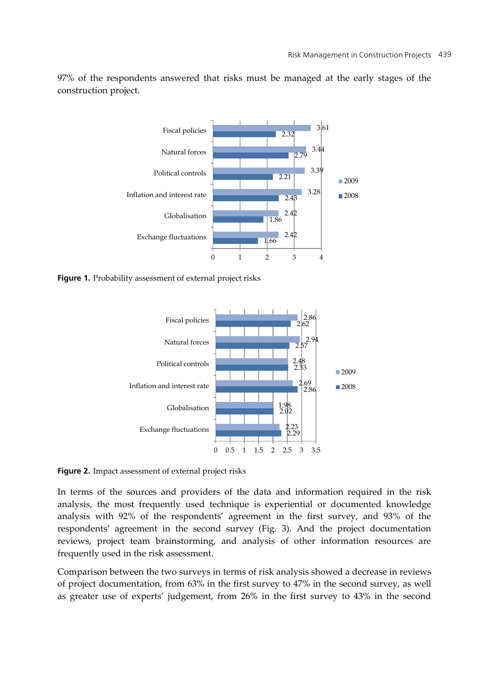97% of the respondents answered that risks must be managed at the early stages of the construction project.



Figure 1. Probability assessment of external project risks



**Figure 2.** Impact assessment of external project risks

In terms of the sources and providers of the data and information required in the risk analysis, the most frequently used technique is experiential or documented knowledge analysis with 92% of the respondents' agreement in the first survey, and 93% of the respondents' agreement in the second survey (Fig. 3). And the project documentation reviews, project team brainstorming, and analysis of other information resources are frequently used in the risk assessment.

Comparison between the two surveys in terms of risk analysis showed a decrease in reviews of project documentation, from 63% in the first survey to 47% in the second survey, as well as greater use of experts' judgement, from 26% in the first survey to 43% in the second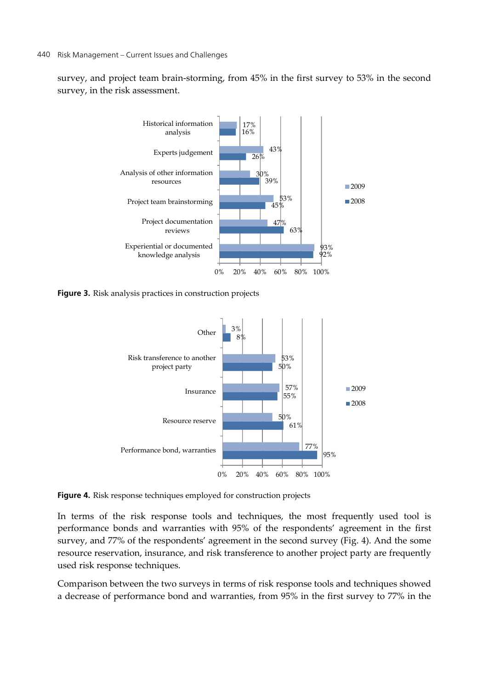survey, and project team brain-storming, from 45% in the first survey to 53% in the second survey, in the risk assessment.



**Figure 3.** Risk analysis practices in construction projects



**Figure 4.** Risk response techniques employed for construction projects

In terms of the risk response tools and techniques, the most frequently used tool is performance bonds and warranties with 95% of the respondents' agreement in the first survey, and 77% of the respondents' agreement in the second survey (Fig. 4). And the some resource reservation, insurance, and risk transference to another project party are frequently used risk response techniques.

Comparison between the two surveys in terms of risk response tools and techniques showed a decrease of performance bond and warranties, from 95% in the first survey to 77% in the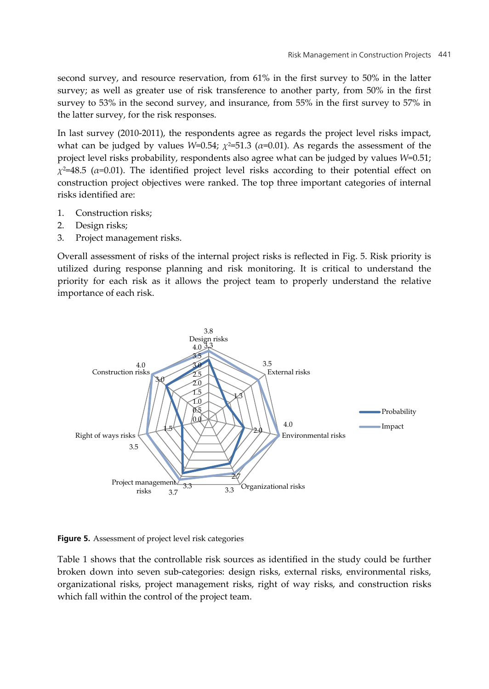second survey, and resource reservation, from 61% in the first survey to 50% in the latter survey; as well as greater use of risk transference to another party, from 50% in the first survey to 53% in the second survey, and insurance, from 55% in the first survey to 57% in the latter survey, for the risk responses.

In last survey (2010-2011), the respondents agree as regards the project level risks impact, what can be judged by values *W*=0.54;  $\chi$ <sup>2</sup>=51.3 ( $\alpha$ =0.01). As regards the assessment of the project level risks probability, respondents also agree what can be judged by values *W*=0.51;  $\chi^2=48.5$  ( $\alpha=0.01$ ). The identified project level risks according to their potential effect on construction project objectives were ranked. The top three important categories of internal risks identified are:

- 1. Construction risks;
- 2. Design risks;
- 3. Project management risks.

Overall assessment of risks of the internal project risks is reflected in Fig. 5. Risk priority is utilized during response planning and risk monitoring. It is critical to understand the priority for each risk as it allows the project team to properly understand the relative importance of each risk.



**Figure 5.** Assessment of project level risk categories

Table 1 shows that the controllable risk sources as identified in the study could be further broken down into seven sub-categories: design risks, external risks, environmental risks, organizational risks, project management risks, right of way risks, and construction risks which fall within the control of the project team.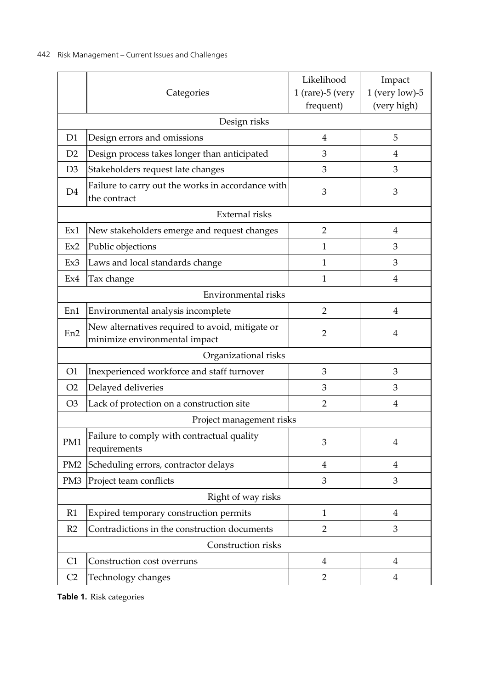|                          |                                                                                  | Likelihood            | Impact           |
|--------------------------|----------------------------------------------------------------------------------|-----------------------|------------------|
|                          | Categories                                                                       | $1$ (rare)- $5$ (very | $1$ (very low)-5 |
|                          |                                                                                  | frequent)             | (very high)      |
| Design risks             |                                                                                  |                       |                  |
| D1                       | Design errors and omissions                                                      | 4                     | 5                |
| D2                       | Design process takes longer than anticipated                                     | 3                     | 4                |
| D <sub>3</sub>           | Stakeholders request late changes                                                | 3                     | 3                |
| D <sub>4</sub>           | Failure to carry out the works in accordance with<br>the contract                | 3                     | 3                |
| External risks           |                                                                                  |                       |                  |
| Ex1                      | New stakeholders emerge and request changes                                      | $\overline{2}$        | 4                |
| Ex2                      | Public objections                                                                | 1                     | 3                |
| Ex3                      | Laws and local standards change                                                  | $\mathbf{1}$          | 3                |
| Ex4                      | Tax change                                                                       | $\mathbf{1}$          | $\overline{4}$   |
| Environmental risks      |                                                                                  |                       |                  |
| En1                      | Environmental analysis incomplete                                                | 2                     | 4                |
| En2                      | New alternatives required to avoid, mitigate or<br>minimize environmental impact | $\overline{2}$        | 4                |
| Organizational risks     |                                                                                  |                       |                  |
| O <sub>1</sub>           | Inexperienced workforce and staff turnover                                       | 3                     | 3                |
| O <sub>2</sub>           | Delayed deliveries                                                               | 3                     | 3                |
| O <sub>3</sub>           | Lack of protection on a construction site                                        | 2                     | $\overline{4}$   |
| Project management risks |                                                                                  |                       |                  |
| PM1                      | Failure to comply with contractual quality<br>requirements                       | 3                     | $\overline{4}$   |
| PM2                      | Scheduling errors, contractor delays                                             | $\overline{4}$        | 4                |
| PM3                      | Project team conflicts                                                           | 3                     | 3                |
| Right of way risks       |                                                                                  |                       |                  |
| R1                       | Expired temporary construction permits                                           | 1                     | 4                |
| R2                       | Contradictions in the construction documents                                     | 2                     | 3                |
| Construction risks       |                                                                                  |                       |                  |
| C1                       | Construction cost overruns                                                       | 4                     | 4                |
| C <sub>2</sub>           | Technology changes                                                               | 2                     | 4                |

**Table 1.** Risk categories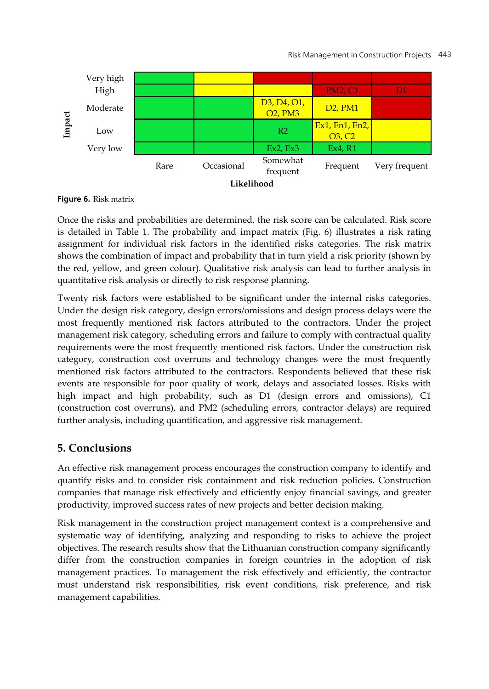

**Figure 6.** Risk matrix

Once the risks and probabilities are determined, the risk score can be calculated. Risk score is detailed in Table 1. The probability and impact matrix (Fig. 6) illustrates a risk rating assignment for individual risk factors in the identified risks categories. The risk matrix shows the combination of impact and probability that in turn yield a risk priority (shown by the red, yellow, and green colour). Qualitative risk analysis can lead to further analysis in quantitative risk analysis or directly to risk response planning.

Twenty risk factors were established to be significant under the internal risks categories. Under the design risk category, design errors/omissions and design process delays were the most frequently mentioned risk factors attributed to the contractors. Under the project management risk category, scheduling errors and failure to comply with contractual quality requirements were the most frequently mentioned risk factors. Under the construction risk category, construction cost overruns and technology changes were the most frequently mentioned risk factors attributed to the contractors. Respondents believed that these risk events are responsible for poor quality of work, delays and associated losses. Risks with high impact and high probability, such as D1 (design errors and omissions), C1 (construction cost overruns), and PM2 (scheduling errors, contractor delays) are required further analysis, including quantification, and aggressive risk management.

# **5. Conclusions**

An effective risk management process encourages the construction company to identify and quantify risks and to consider risk containment and risk reduction policies. Construction companies that manage risk effectively and efficiently enjoy financial savings, and greater productivity, improved success rates of new projects and better decision making.

Risk management in the construction project management context is a comprehensive and systematic way of identifying, analyzing and responding to risks to achieve the project objectives. The research results show that the Lithuanian construction company significantly differ from the construction companies in foreign countries in the adoption of risk management practices. To management the risk effectively and efficiently, the contractor must understand risk responsibilities, risk event conditions, risk preference, and risk management capabilities.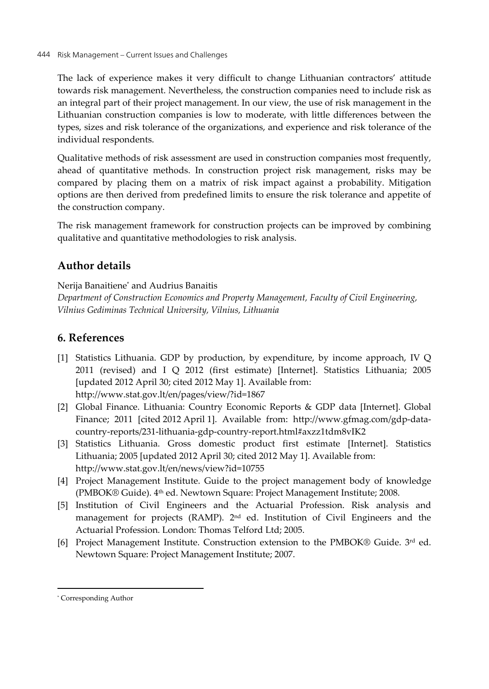The lack of experience makes it very difficult to change Lithuanian contractors' attitude towards risk management. Nevertheless, the construction companies need to include risk as an integral part of their project management. In our view, the use of risk management in the Lithuanian construction companies is low to moderate, with little differences between the types, sizes and risk tolerance of the organizations, and experience and risk tolerance of the individual respondents.

Qualitative methods of risk assessment are used in construction companies most frequently, ahead of quantitative methods. In construction project risk management, risks may be compared by placing them on a matrix of risk impact against a probability. Mitigation options are then derived from predefined limits to ensure the risk tolerance and appetite of the construction company.

The risk management framework for construction projects can be improved by combining qualitative and quantitative methodologies to risk analysis.

# **Author details**

Nerija Banaitiene\* and Audrius Banaitis

*Department of Construction Economics and Property Management, Faculty of Civil Engineering, Vilnius Gediminas Technical University, Vilnius, Lithuania* 

# **6. References**

- [1] Statistics Lithuania. GDP by production, by expenditure, by income approach, IV Q 2011 (revised) and I Q 2012 (first estimate) [Internet]. Statistics Lithuania; 2005 [updated 2012 April 30; cited 2012 May 1]. Available from: http://www.stat.gov.lt/en/pages/view/?id=1867
- [2] Global Finance. Lithuania: Country Economic Reports & GDP data [Internet]. Global Finance; 2011 [cited 2012 April 1]. Available from: http://www.gfmag.com/gdp-datacountry-reports/231-lithuania-gdp-country-report.html#axzz1tdm8vIK2
- [3] Statistics Lithuania. Gross domestic product first estimate [Internet]. Statistics Lithuania; 2005 [updated 2012 April 30; cited 2012 May 1]. Available from: http://www.stat.gov.lt/en/news/view?id=10755
- [4] Project Management Institute. Guide to the project management body of knowledge (PMBOK® Guide). 4<sup>th</sup> ed. Newtown Square: Project Management Institute; 2008.
- [5] Institution of Civil Engineers and the Actuarial Profession. Risk analysis and management for projects (RAMP). 2nd ed. Institution of Civil Engineers and the Actuarial Profession. London: Thomas Telford Ltd; 2005.
- [6] Project Management Institute. Construction extension to the PMBOK® Guide. 3<sup>rd</sup> ed. Newtown Square: Project Management Institute; 2007.

j

<sup>\*</sup> Corresponding Author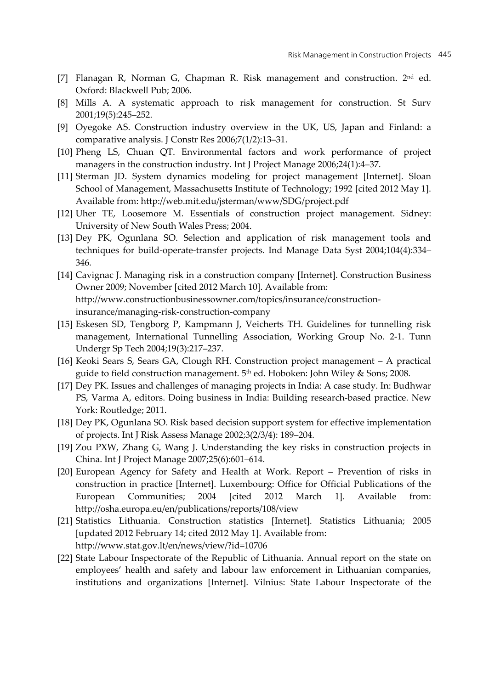- [7] Flanagan R, Norman G, Chapman R. Risk management and construction.  $2<sup>nd</sup>$  ed. Oxford: Blackwell Pub; 2006.
- [8] Mills A. A systematic approach to risk management for construction. St Surv 2001;19(5):245–252.
- [9] Oyegoke AS. Construction industry overview in the UK, US, Japan and Finland: a comparative analysis. J Constr Res 2006;7(1/2):13–31.
- [10] Pheng LS, Chuan QT. Environmental factors and work performance of project managers in the construction industry. Int J Project Manage 2006;24(1):4–37.
- [11] Sterman JD. System dynamics modeling for project management [Internet]. Sloan School of Management, Massachusetts Institute of Technology; 1992 [cited 2012 May 1]. Available from: http://web.mit.edu/jsterman/www/SDG/project.pdf
- [12] Uher TE, Loosemore M. Essentials of construction project management. Sidney: University of New South Wales Press; 2004.
- [13] Dey PK, Ogunlana SO. Selection and application of risk management tools and techniques for build-operate-transfer projects. Ind Manage Data Syst 2004;104(4):334– 346.
- [14] Cavignac J. Managing risk in a construction company [Internet]. Construction Business Owner 2009; November [cited 2012 March 10]. Available from: http://www.constructionbusinessowner.com/topics/insurance/constructioninsurance/managing-risk-construction-company
- [15] Eskesen SD, Tengborg P, Kampmann J, Veicherts TH. Guidelines for tunnelling risk management, International Tunnelling Association, Working Group No. 2-1. Tunn Undergr Sp Tech 2004;19(3):217–237.
- [16] Keoki Sears S, Sears GA, Clough RH. Construction project management A practical guide to field construction management. 5<sup>th</sup> ed. Hoboken: John Wiley & Sons; 2008.
- [17] Dey PK. Issues and challenges of managing projects in India: A case study. In: Budhwar PS, Varma A, editors. Doing business in India: Building research-based practice. New York: Routledge; 2011.
- [18] Dey PK, Ogunlana SO. Risk based decision support system for effective implementation of projects. Int J Risk Assess Manage 2002;3(2/3/4): 189–204.
- [19] Zou PXW, Zhang G, Wang J. Understanding the key risks in construction projects in China. Int J Project Manage 2007;25(6):601–614.
- [20] European Agency for Safety and Health at Work. Report Prevention of risks in construction in practice [Internet]. Luxembourg: Office for Official Publications of the European Communities; 2004 [cited 2012 March 1]. Available from: http://osha.europa.eu/en/publications/reports/108/view
- [21] Statistics Lithuania. Construction statistics [Internet]. Statistics Lithuania; 2005 [updated 2012 February 14; cited 2012 May 1]. Available from: http://www.stat.gov.lt/en/news/view/?id=10706
- [22] State Labour Inspectorate of the Republic of Lithuania. Annual report on the state on employees' health and safety and labour law enforcement in Lithuanian companies, institutions and organizations [Internet]. Vilnius: State Labour Inspectorate of the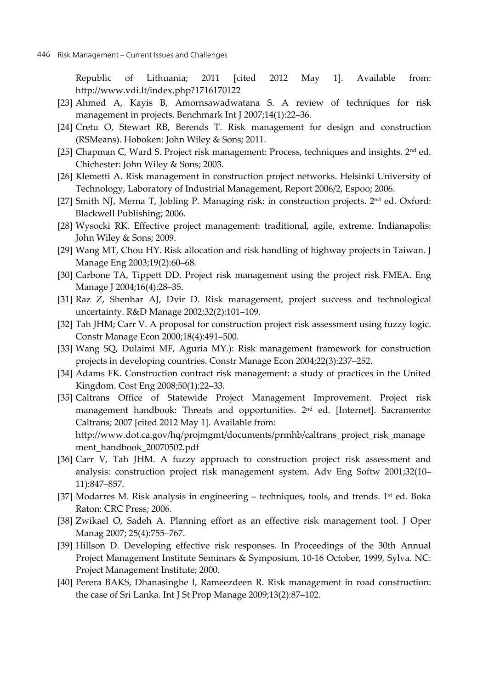Republic of Lithuania; 2011 [cited 2012 May 1]. Available from: http://www.vdi.lt/index.php?1716170122

- [23] Ahmed A, Kayis B, Amornsawadwatana S. A review of techniques for risk management in projects. Benchmark Int J 2007;14(1):22–36.
- [24] Cretu O, Stewart RB, Berends T. Risk management for design and construction (RSMeans). Hoboken: John Wiley & Sons; 2011.
- [25] Chapman C, Ward S. Project risk management: Process, techniques and insights.  $2<sup>nd</sup>$  ed. Chichester: John Wiley & Sons; 2003.
- [26] Klemetti A. Risk management in construction project networks. Helsinki University of Technology, Laboratory of Industrial Management, Report 2006/2, Espoo; 2006.
- [27] Smith NJ, Merna T, Jobling P. Managing risk: in construction projects. 2nd ed. Oxford: Blackwell Publishing; 2006.
- [28] Wysocki RK. Effective project management: traditional, agile, extreme. Indianapolis: John Wiley & Sons; 2009.
- [29] Wang MT, Chou HY. Risk allocation and risk handling of highway projects in Taiwan. J Manage Eng 2003;19(2):60–68.
- [30] Carbone TA, Tippett DD. Project risk management using the project risk FMEA. Eng Manage J 2004;16(4):28–35.
- [31] Raz Z, Shenhar AJ, Dvir D. Risk management, project success and technological uncertainty. R&D Manage 2002;32(2):101–109.
- [32] Tah JHM; Carr V. A proposal for construction project risk assessment using fuzzy logic. Constr Manage Econ 2000;18(4):491–500.
- [33] Wang SQ, Dulaimi MF, Aguria MY.): Risk management framework for construction projects in developing countries. Constr Manage Econ 2004;22(3):237–252.
- [34] Adams FK. Construction contract risk management: a study of practices in the United Kingdom. Cost Eng 2008;50(1):22–33.
- [35] Caltrans Office of Statewide Project Management Improvement. Project risk management handbook: Threats and opportunities. 2<sup>nd</sup> ed. [Internet]. Sacramento: Caltrans; 2007 [cited 2012 May 1]. Available from: http://www.dot.ca.gov/hq/projmgmt/documents/prmhb/caltrans\_project\_risk\_manage ment\_handbook\_20070502.pdf
- [36] Carr V, Tah JHM. A fuzzy approach to construction project risk assessment and analysis: construction project risk management system. Adv Eng Softw 2001;32(10– 11):847–857.
- [37] Modarres M. Risk analysis in engineering  $-$  techniques, tools, and trends. 1<sup>st</sup> ed. Boka Raton: CRC Press; 2006.
- [38] Zwikael O, Sadeh A. Planning effort as an effective risk management tool. J Oper Manag 2007; 25(4):755–767.
- [39] Hillson D. Developing effective risk responses. In Proceedings of the 30th Annual Project Management Institute Seminars & Symposium, 10-16 October, 1999, Sylva. NC: Project Management Institute; 2000.
- [40] Perera BAKS, Dhanasinghe I, Rameezdeen R. Risk management in road construction: the case of Sri Lanka. Int J St Prop Manage 2009;13(2):87–102.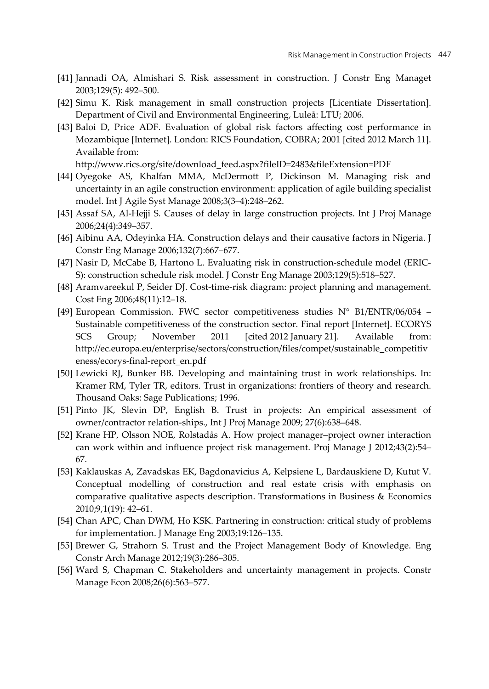- [41] Jannadi OA, Almishari S. Risk assessment in construction. J Constr Eng Managet 2003;129(5): 492–500.
- [42] Simu K. Risk management in small construction projects [Licentiate Dissertation]. Department of Civil and Environmental Engineering, Luleå: LTU; 2006.
- [43] Baloi D, Price ADF. Evaluation of global risk factors affecting cost performance in Mozambique [Internet]. London: RICS Foundation, COBRA; 2001 [cited 2012 March 11]. Available from:

http://www.rics.org/site/download\_feed.aspx?fileID=2483&fileExtension=PDF

- [44] Oyegoke AS, Khalfan MMA, McDermott P, Dickinson M. Managing risk and uncertainty in an agile construction environment: application of agile building specialist model. Int J Agile Syst Manage 2008;3(3–4):248–262.
- [45] Assaf SA, Al-Hejji S. Causes of delay in large construction projects. Int J Proj Manage 2006;24(4):349–357.
- [46] Aibinu AA, Odeyinka HA. Construction delays and their causative factors in Nigeria. J Constr Eng Manage 2006;132(7):667–677.
- [47] Nasir D, McCabe B, Hartono L. Evaluating risk in construction-schedule model (ERIC-S): construction schedule risk model. J Constr Eng Manage 2003;129(5):518–527.
- [48] Aramvareekul P, Seider DJ. Cost-time-risk diagram: project planning and management. Cost Eng 2006;48(11):12–18.
- [49] European Commission. FWC sector competitiveness studies N° B1/ENTR/06/054 Sustainable competitiveness of the construction sector. Final report [Internet]. ECORYS SCS Group; November 2011 [cited 2012 January 21]. Available from: http://ec.europa.eu/enterprise/sectors/construction/files/compet/sustainable\_competitiv eness/ecorys-final-report\_en.pdf
- [50] Lewicki RJ, Bunker BB. Developing and maintaining trust in work relationships. In: Kramer RM, Tyler TR, editors. Trust in organizations: frontiers of theory and research. Thousand Oaks: Sage Publications; 1996.
- [51] Pinto JK, Slevin DP, English B. Trust in projects: An empirical assessment of owner/contractor relation-ships., Int J Proj Manage 2009; 27(6):638–648.
- [52] Krane HP, Olsson NOE, Rolstadås A. How project manager–project owner interaction can work within and influence project risk management. Proj Manage J 2012;43(2):54– 67.
- [53] Kaklauskas A, Zavadskas EK, Bagdonavicius A, Kelpsiene L, Bardauskiene D, Kutut V. Conceptual modelling of construction and real estate crisis with emphasis on comparative qualitative aspects description. Transformations in Business & Economics 2010;9,1(19): 42–61.
- [54] Chan APC, Chan DWM, Ho KSK. Partnering in construction: critical study of problems for implementation. J Manage Eng 2003;19:126–135.
- [55] Brewer G, Strahorn S. Trust and the Project Management Body of Knowledge. Eng Constr Arch Manage 2012;19(3):286–305.
- [56] Ward S, Chapman C. Stakeholders and uncertainty management in projects. Constr Manage Econ 2008;26(6):563–577.